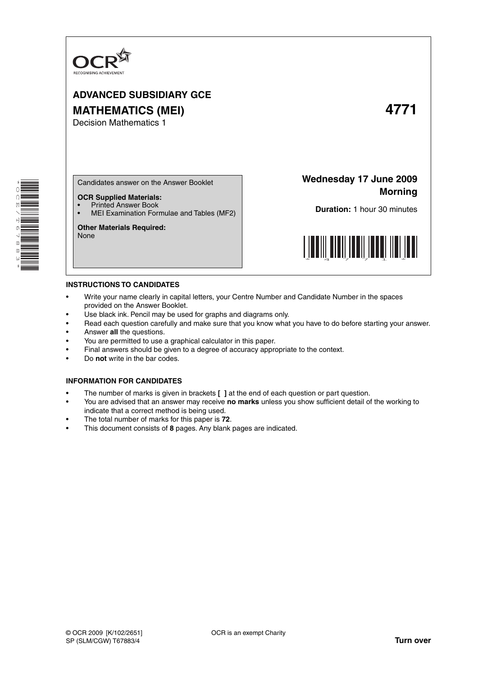

# **ADVANCED SUBSIDIARY GCE MATHEMATICS (MEI) 4771**

Decision Mathematics 1

\*OCE/T67883\*  Candidates answer on the Answer Booklet

#### **OCR Supplied Materials:**

- Printed Answer Book
- MEI Examination Formulae and Tables (MF2)

**Other Materials Required:** None

**Wednesday 17 June 2009 Morning**

**Duration:** 1 hour 30 minutes



#### **INSTRUCTIONS TO CANDIDATES**

- Write your name clearly in capital letters, your Centre Number and Candidate Number in the spaces provided on the Answer Booklet.
- Use black ink. Pencil may be used for graphs and diagrams only.
- Read each question carefully and make sure that you know what you have to do before starting your answer.
- Answer **all** the questions.
- You are permitted to use a graphical calculator in this paper.
- Final answers should be given to a degree of accuracy appropriate to the context.
- Do **not** write in the bar codes.

#### **INFORMATION FOR CANDIDATES**

- The number of marks is given in brackets **[ ]** at the end of each question or part question.
- You are advised that an answer may receive **no marks** unless you show sufficient detail of the working to indicate that a correct method is being used.
- The total number of marks for this paper is **72**.
- This document consists of **8** pages. Any blank pages are indicated.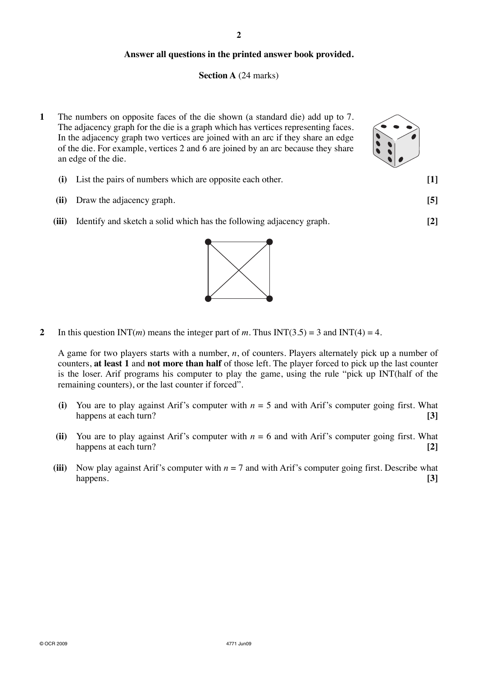## **Answer all questions in the printed answer book provided.**

## **Section A** (24 marks)

- **1** The numbers on opposite faces of the die shown (a standard die) add up to 7. The adjacency graph for the die is a graph which has vertices representing faces. In the adjacency graph two vertices are joined with an arc if they share an edge of the die. For example, vertices 2 and 6 are joined by an arc because they share an edge of the die.
	- **(i)** List the pairs of numbers which are opposite each other. **[1]**
	- **(ii)** Draw the adjacency graph. **[5]**
	- **(iii)** Identify and sketch a solid which has the following adjacency graph. **[2]**
		-
- **2** In this question INT(*m*) means the integer part of *m*. Thus INT(3.5) = 3 and INT(4) = 4.

A game for two players starts with a number, *n*, of counters. Players alternately pick up a number of counters, **at least 1** and **not more than half** of those left. The player forced to pick up the last counter is the loser. Arif programs his computer to play the game, using the rule "pick up INT(half of the remaining counters), or the last counter if forced".

- **(i)** You are to play against Arif's computer with  $n = 5$  and with Arif's computer going first. What happens at each turn? **[3] [3]**
- **(ii)** You are to play against Arif's computer with  $n = 6$  and with Arif's computer going first. What happens at each turn? **[2] [2]**
- **(iii)** Now play against Arif's computer with  $n = 7$  and with Arif's computer going first. Describe what happens. **[3]**



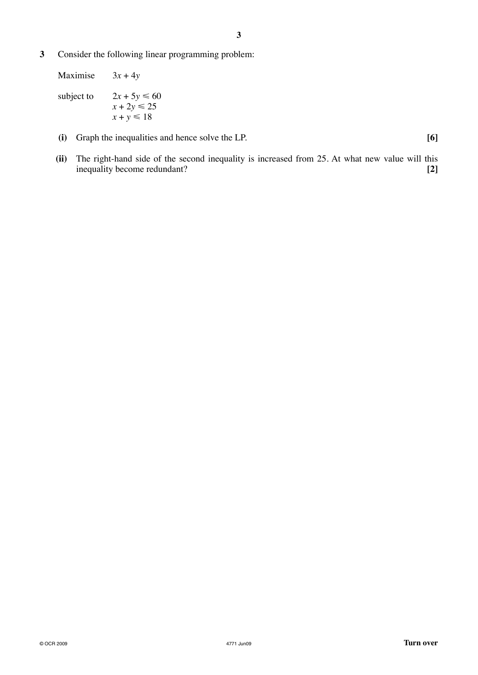**3** Consider the following linear programming problem:

Maximise  $3x + 4y$ 

subject to  $2x + 5y \le 60$  $x + 2y \le 25$  $x + y \leq 18$ 

 **(i)** Graph the inequalities and hence solve the LP. **[6]**

 **(ii)** The right-hand side of the second inequality is increased from 25. At what new value will this inequality become redundant? **[2]**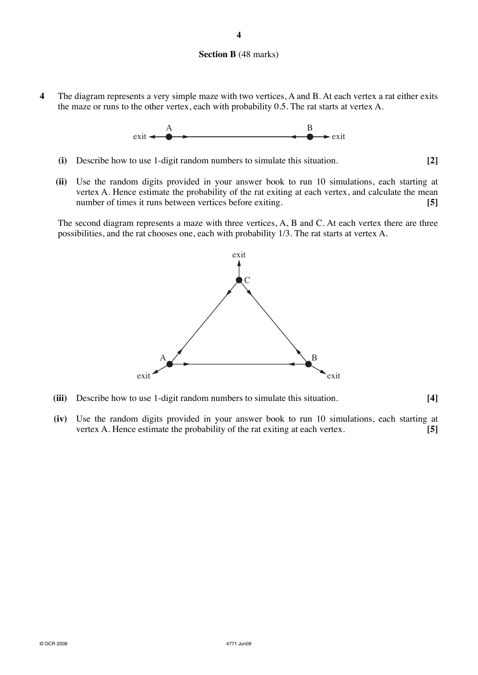#### **Section B** (48 marks)

**4** The diagram represents a very simple maze with two vertices, A and B. At each vertex a rat either exits the maze or runs to the other vertex, each with probability 0.5. The rat starts at vertex A.



- **(i)** Describe how to use 1-digit random numbers to simulate this situation. **[2]**
- **(ii)** Use the random digits provided in your answer book to run 10 simulations, each starting at vertex A. Hence estimate the probability of the rat exiting at each vertex, and calculate the mean number of times it runs between vertices before exiting. **[5]**

The second diagram represents a maze with three vertices, A, B and C. At each vertex there are three possibilities, and the rat chooses one, each with probability 1/3. The rat starts at vertex A.



- **(iii)** Describe how to use 1-digit random numbers to simulate this situation. **[4]**
- **(iv)** Use the random digits provided in your answer book to run 10 simulations, each starting at vertex A. Hence estimate the probability of the rat exiting at each vertex. **[5]**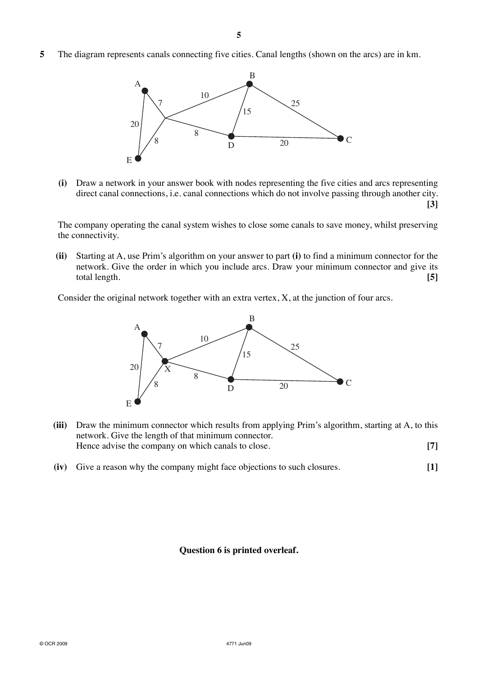**5** The diagram represents canals connecting five cities. Canal lengths (shown on the arcs) are in km.



 **(i)** Draw a network in your answer book with nodes representing the five cities and arcs representing direct canal connections, i.e. canal connections which do not involve passing through another city. **[3]**

The company operating the canal system wishes to close some canals to save money, whilst preserving the connectivity.

 **(ii)** Starting at A, use Prim's algorithm on your answer to part **(i)** to find a minimum connector for the network. Give the order in which you include arcs. Draw your minimum connector and give its total length. **[5]**

Consider the original network together with an extra vertex, X, at the junction of four arcs.



- **(iii)** Draw the minimum connector which results from applying Prim's algorithm, starting at A, to this network. Give the length of that minimum connector. Hence advise the company on which canals to close. **[7]**
- **(iv)** Give a reason why the company might face objections to such closures. **[1]**

**Question 6 is printed overleaf.**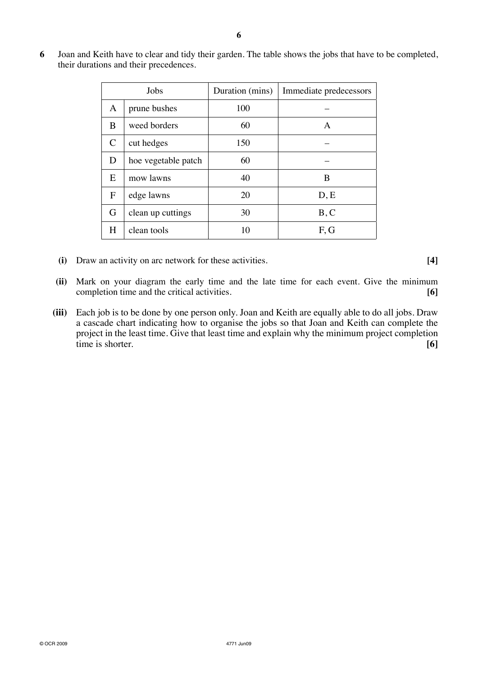| Jobs                        |                     | Duration (mins) | Immediate predecessors |
|-----------------------------|---------------------|-----------------|------------------------|
| A                           | prune bushes        | 100             |                        |
| B                           | weed borders        | 60              | A                      |
| $\mathcal{C}_{\mathcal{C}}$ | cut hedges          | 150             |                        |
| D                           | hoe vegetable patch | 60              |                        |
| E                           | mow lawns           | 40              | B                      |
| F                           | edge lawns          | 20              | D, E                   |
| G                           | clean up cuttings   | 30              | B, C                   |
| H                           | clean tools         | 10              | F, G                   |

**6** Joan and Keith have to clear and tidy their garden. The table shows the jobs that have to be completed, their durations and their precedences.

- **(i)** Draw an activity on arc network for these activities. **[4]**
- **(ii)** Mark on your diagram the early time and the late time for each event. Give the minimum completion time and the critical activities. **[6]**
- **(iii)** Each job is to be done by one person only. Joan and Keith are equally able to do all jobs. Draw a cascade chart indicating how to organise the jobs so that Joan and Keith can complete the project in the least time. Give that least time and explain why the minimum project completion time is shorter. **[6]**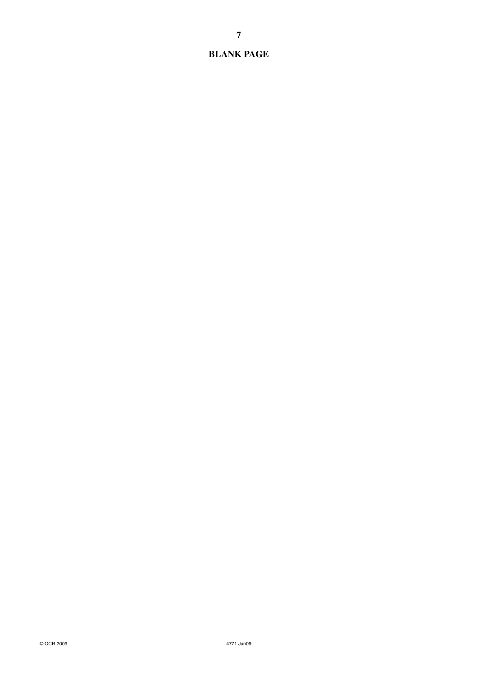## **BLANK PAGE**